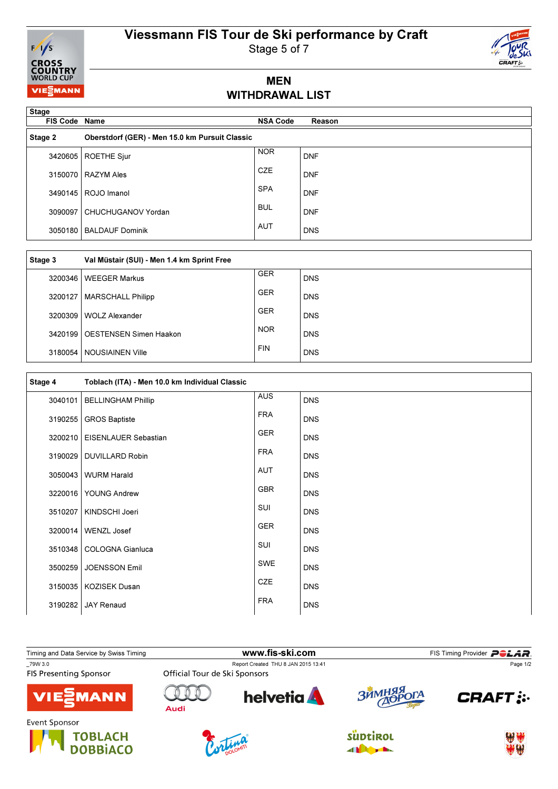## Viessmann FIS Tour de Ski performance by Craft



Stage 5 of 7

### MEN WITHDRAWAL LIST

| <b>Stage</b><br><b>FIS Code Name</b> |                                                | <b>NSA Code</b> | Reason     |
|--------------------------------------|------------------------------------------------|-----------------|------------|
| Stage 2                              | Oberstdorf (GER) - Men 15.0 km Pursuit Classic |                 |            |
| 3420605                              | ROETHE Sjur                                    | <b>NOR</b>      | <b>DNF</b> |
| 3150070                              | <b>RAZYM Ales</b>                              | <b>CZE</b>      | <b>DNF</b> |
| 3490145                              | ROJO Imanol                                    | <b>SPA</b>      | <b>DNF</b> |
| 3090097                              | CHUCHUGANOV Yordan                             | <b>BUL</b>      | <b>DNF</b> |
| 3050180                              | <b>BALDAUF Dominik</b>                         | <b>AUT</b>      | <b>DNS</b> |

| Stage 3   | Val Müstair (SUI) - Men 1.4 km Sprint Free |            |            |
|-----------|--------------------------------------------|------------|------------|
| 3200346   | <b>WEEGER Markus</b>                       | <b>GER</b> | <b>DNS</b> |
| 3200127   | <b>MARSCHALL Philipp</b>                   | <b>GER</b> | <b>DNS</b> |
| 3200309   | <b>WOLZ Alexander</b>                      | <b>GER</b> | <b>DNS</b> |
| 3420199 l | <b>OESTENSEN Simen Haakon</b>              | <b>NOR</b> | <b>DNS</b> |
|           | 3180054   NOUSIAINEN Ville                 | <b>FIN</b> | <b>DNS</b> |

| Stage 4 | Toblach (ITA) - Men 10.0 km Individual Classic |            |            |
|---------|------------------------------------------------|------------|------------|
| 3040101 | <b>BELLINGHAM Phillip</b>                      | <b>AUS</b> | <b>DNS</b> |
| 3190255 | <b>GROS Baptiste</b>                           | <b>FRA</b> | <b>DNS</b> |
| 3200210 | EISENLAUER Sebastian                           | <b>GER</b> | <b>DNS</b> |
| 3190029 | <b>DUVILLARD Robin</b>                         | <b>FRA</b> | <b>DNS</b> |
| 3050043 | <b>WURM Harald</b>                             | AUT        | <b>DNS</b> |
| 3220016 | <b>YOUNG Andrew</b>                            | <b>GBR</b> | <b>DNS</b> |
| 3510207 | KINDSCHI Joeri                                 | SUI        | <b>DNS</b> |
| 3200014 | <b>WENZL Josef</b>                             | GER        | <b>DNS</b> |
| 3510348 | COLOGNA Gianluca                               | SUI        | <b>DNS</b> |
| 3500259 | <b>JOENSSON Emil</b>                           | SWE        | <b>DNS</b> |
| 3150035 | <b>KOZISEK Dusan</b>                           | CZE        | <b>DNS</b> |
| 3190282 | <b>JAY Renaud</b>                              | <b>FRA</b> | <b>DNS</b> |

Timing and Data Service by Swiss Timing **Example 2018** WWW.fis-ski.com FIS Timing Provider **PCLAR**<br>The Timing Provider PCLAR Page 1/2 Report Created THU 8 JAN 2015 13:41<br>Official Tour de Ski Sponsors Page 1/2**FIS Presenting Sponsor helvetia** RRHMI n  $\mathbb{N}$ **CRAFT: :** ГA **MANN Audi** Event Sponsor